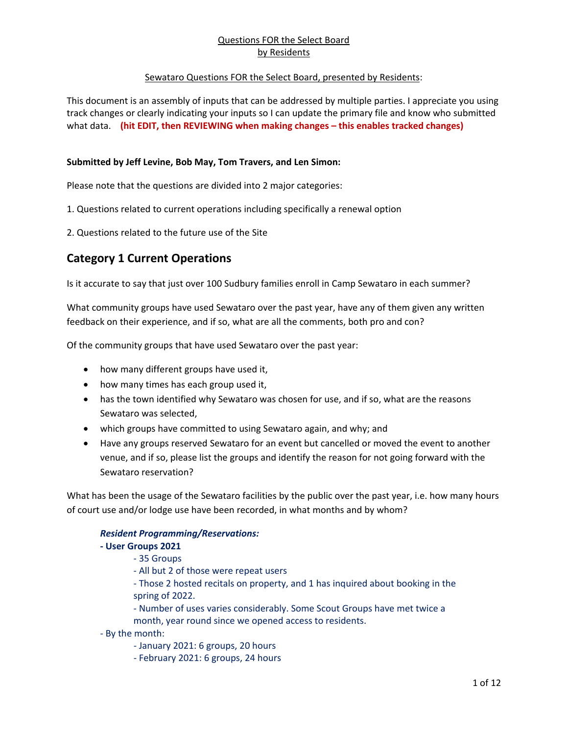#### Sewataro Questions FOR the Select Board, presented by Residents:

This document is an assembly of inputs that can be addressed by multiple parties. I appreciate you using track changes or clearly indicating your inputs so I can update the primary file and know who submitted what data. **(hit EDIT, then REVIEWING when making changes – this enables tracked changes)**

#### **Submitted by Jeff Levine, Bob May, Tom Travers, and Len Simon:**

Please note that the questions are divided into 2 major categories:

- 1. Questions related to current operations including specifically a renewal option
- 2. Questions related to the future use of the Site

# **Category 1 Current Operations**

Is it accurate to say that just over 100 Sudbury families enroll in Camp Sewataro in each summer?

What community groups have used Sewataro over the past year, have any of them given any written feedback on their experience, and if so, what are all the comments, both pro and con?

Of the community groups that have used Sewataro over the past year:

- how many different groups have used it,
- how many times has each group used it,
- has the town identified why Sewataro was chosen for use, and if so, what are the reasons Sewataro was selected,
- which groups have committed to using Sewataro again, and why; and
- Have any groups reserved Sewataro for an event but cancelled or moved the event to another venue, and if so, please list the groups and identify the reason for not going forward with the Sewataro reservation?

What has been the usage of the Sewataro facilities by the public over the past year, i.e. how many hours of court use and/or lodge use have been recorded, in what months and by whom?

#### *Resident Programming/Reservations:*

#### **- User Groups 2021**

- 35 Groups
- All but 2 of those were repeat users

- Those 2 hosted recitals on property, and 1 has inquired about booking in the spring of 2022.

- Number of uses varies considerably. Some Scout Groups have met twice a month, year round since we opened access to residents.

- By the month:
	- January 2021: 6 groups, 20 hours
	- February 2021: 6 groups, 24 hours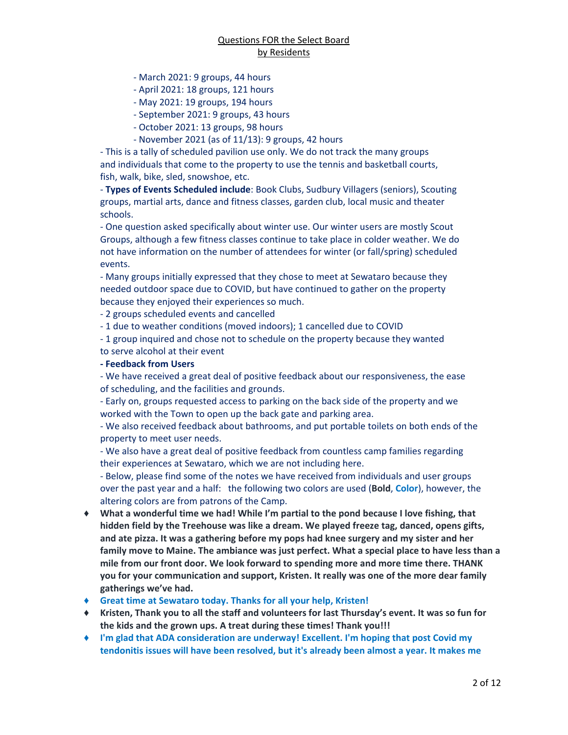- March 2021: 9 groups, 44 hours
- April 2021: 18 groups, 121 hours
- May 2021: 19 groups, 194 hours
- September 2021: 9 groups, 43 hours
- October 2021: 13 groups, 98 hours
- November 2021 (as of 11/13): 9 groups, 42 hours

- This is a tally of scheduled pavilion use only. We do not track the many groups and individuals that come to the property to use the tennis and basketball courts, fish, walk, bike, sled, snowshoe, etc.

- **Types of Events Scheduled include**: Book Clubs, Sudbury Villagers (seniors), Scouting groups, martial arts, dance and fitness classes, garden club, local music and theater schools.

- One question asked specifically about winter use. Our winter users are mostly Scout Groups, although a few fitness classes continue to take place in colder weather. We do not have information on the number of attendees for winter (or fall/spring) scheduled events.

- Many groups initially expressed that they chose to meet at Sewataro because they needed outdoor space due to COVID, but have continued to gather on the property because they enjoyed their experiences so much.

- 2 groups scheduled events and cancelled

- 1 due to weather conditions (moved indoors); 1 cancelled due to COVID

- 1 group inquired and chose not to schedule on the property because they wanted

# to serve alcohol at their event

#### **- Feedback from Users**

- We have received a great deal of positive feedback about our responsiveness, the ease of scheduling, and the facilities and grounds.

- Early on, groups requested access to parking on the back side of the property and we worked with the Town to open up the back gate and parking area.

- We also received feedback about bathrooms, and put portable toilets on both ends of the property to meet user needs.

- We also have a great deal of positive feedback from countless camp families regarding their experiences at Sewataro, which we are not including here.

- Below, please find some of the notes we have received from individuals and user groups over the past year and a half: the following two colors are used (**Bold**, **Color**), however, the altering colors are from patrons of the Camp.

- ♦ **What a wonderful time we had! While I'm partial to the pond because I love fishing, that hidden field by the Treehouse was like a dream. We played freeze tag, danced, opens gifts, and ate pizza. It was a gathering before my pops had knee surgery and my sister and her family move to Maine. The ambiance was just perfect. What a special place to have less than a mile from our front door. We look forward to spending more and more time there. THANK you for your communication and support, Kristen. It really was one of the more dear family gatherings we've had.**
- ♦ **Great time at Sewataro today. Thanks for all your help, Kristen!**
- ♦ **Kristen, Thank you to all the staff and volunteers for last Thursday's event. It was so fun for the kids and the grown ups. A treat during these times! Thank you!!!**
- ♦ **I'm glad that ADA consideration are underway! Excellent. I'm hoping that post Covid my tendonitis issues will have been resolved, but it's already been almost a year. It makes me**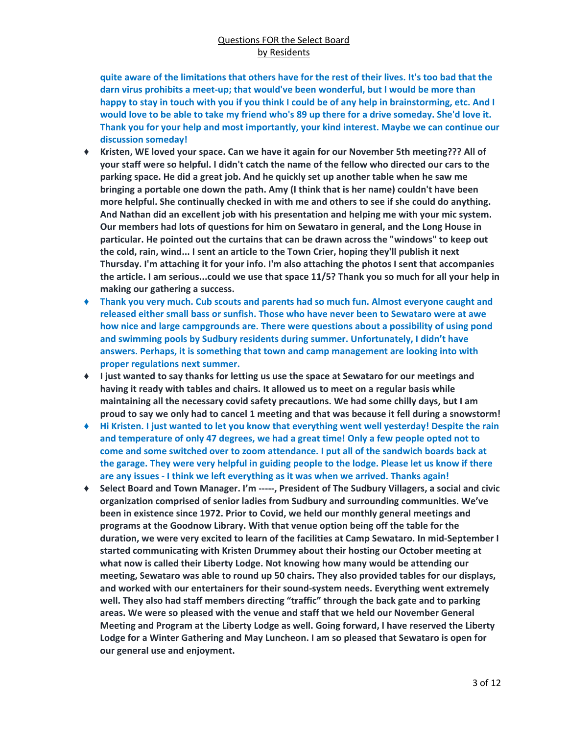**quite aware of the limitations that others have for the rest of their lives. It's too bad that the darn virus prohibits a meet-up; that would've been wonderful, but I would be more than happy to stay in touch with you if you think I could be of any help in brainstorming, etc. And I would love to be able to take my friend who's 89 up there for a drive someday. She'd love it. Thank you for your help and most importantly, your kind interest. Maybe we can continue our discussion someday!**

- ♦ **Kristen, WE loved your space. Can we have it again for our November 5th meeting??? All of your staff were so helpful. I didn't catch the name of the fellow who directed our cars to the parking space. He did a great job. And he quickly set up another table when he saw me bringing a portable one down the path. Amy (I think that is her name) couldn't have been more helpful. She continually checked in with me and others to see if she could do anything. And Nathan did an excellent job with his presentation and helping me with your mic system. Our members had lots of questions for him on Sewataro in general, and the Long House in particular. He pointed out the curtains that can be drawn across the "windows" to keep out the cold, rain, wind... I sent an article to the Town Crier, hoping they'll publish it next Thursday. I'm attaching it for your info. I'm also attaching the photos I sent that accompanies the article. I am serious...could we use that space 11/5? Thank you so much for all your help in making our gathering a success.**
- ♦ **Thank you very much. Cub scouts and parents had so much fun. Almost everyone caught and released either small bass or sunfish. Those who have never been to Sewataro were at awe how nice and large campgrounds are. There were questions about a possibility of using pond and swimming pools by Sudbury residents during summer. Unfortunately, I didn't have answers. Perhaps, it is something that town and camp management are looking into with proper regulations next summer.**
- ♦ **I just wanted to say thanks for letting us use the space at Sewataro for our meetings and having it ready with tables and chairs. It allowed us to meet on a regular basis while maintaining all the necessary covid safety precautions. We had some chilly days, but I am proud to say we only had to cancel 1 meeting and that was because it fell during a snowstorm!**
- ♦ **Hi Kristen. I just wanted to let you know that everything went well yesterday! Despite the rain and temperature of only 47 degrees, we had a great time! Only a few people opted not to come and some switched over to zoom attendance. I put all of the sandwich boards back at the garage. They were very helpful in guiding people to the lodge. Please let us know if there are any issues - I think we left everything as it was when we arrived. Thanks again!**
- ♦ **Select Board and Town Manager. I'm -----, President of The Sudbury Villagers, a social and civic organization comprised of senior ladies from Sudbury and surrounding communities. We've been in existence since 1972. Prior to Covid, we held our monthly general meetings and programs at the Goodnow Library. With that venue option being off the table for the duration, we were very excited to learn of the facilities at Camp Sewataro. In mid-September I started communicating with Kristen Drummey about their hosting our October meeting at what now is called their Liberty Lodge. Not knowing how many would be attending our meeting, Sewataro was able to round up 50 chairs. They also provided tables for our displays, and worked with our entertainers for their sound-system needs. Everything went extremely well. They also had staff members directing "traffic" through the back gate and to parking areas. We were so pleased with the venue and staff that we held our November General Meeting and Program at the Liberty Lodge as well. Going forward, I have reserved the Liberty Lodge for a Winter Gathering and May Luncheon. I am so pleased that Sewataro is open for our general use and enjoyment.**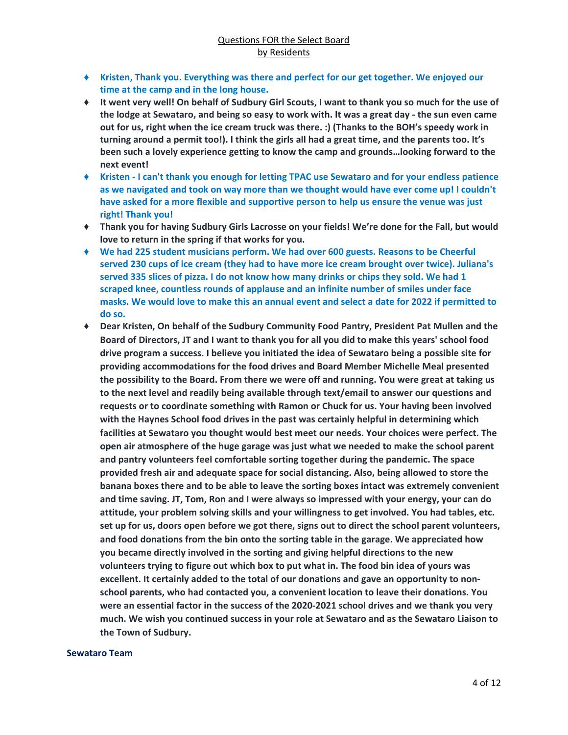- ♦ **Kristen, Thank you. Everything was there and perfect for our get together. We enjoyed our time at the camp and in the long house.**
- ♦ **It went very well! On behalf of Sudbury Girl Scouts, I want to thank you so much for the use of the lodge at Sewataro, and being so easy to work with. It was a great day - the sun even came out for us, right when the ice cream truck was there. :) (Thanks to the BOH's speedy work in turning around a permit too!). I think the girls all had a great time, and the parents too. It's been such a lovely experience getting to know the camp and grounds…looking forward to the next event!**
- ♦ **Kristen - I can't thank you enough for letting TPAC use Sewataro and for your endless patience as we navigated and took on way more than we thought would have ever come up! I couldn't have asked for a more flexible and supportive person to help us ensure the venue was just right! Thank you!**
- ♦ **Thank you for having Sudbury Girls Lacrosse on your fields! We're done for the Fall, but would love to return in the spring if that works for you.**
- ♦ **We had 225 student musicians perform. We had over 600 guests. Reasons to be Cheerful served 230 cups of ice cream (they had to have more ice cream brought over twice). Juliana's served 335 slices of pizza. I do not know how many drinks or chips they sold. We had 1 scraped knee, countless rounds of applause and an infinite number of smiles under face masks. We would love to make this an annual event and select a date for 2022 if permitted to do so.**
- ♦ **Dear Kristen, On behalf of the Sudbury Community Food Pantry, President Pat Mullen and the Board of Directors, JT and I want to thank you for all you did to make this years' school food drive program a success. I believe you initiated the idea of Sewataro being a possible site for providing accommodations for the food drives and Board Member Michelle Meal presented the possibility to the Board. From there we were off and running. You were great at taking us to the next level and readily being available through text/email to answer our questions and requests or to coordinate something with Ramon or Chuck for us. Your having been involved with the Haynes School food drives in the past was certainly helpful in determining which facilities at Sewataro you thought would best meet our needs. Your choices were perfect. The open air atmosphere of the huge garage was just what we needed to make the school parent and pantry volunteers feel comfortable sorting together during the pandemic. The space provided fresh air and adequate space for social distancing. Also, being allowed to store the banana boxes there and to be able to leave the sorting boxes intact was extremely convenient and time saving. JT, Tom, Ron and I were always so impressed with your energy, your can do attitude, your problem solving skills and your willingness to get involved. You had tables, etc. set up for us, doors open before we got there, signs out to direct the school parent volunteers, and food donations from the bin onto the sorting table in the garage. We appreciated how you became directly involved in the sorting and giving helpful directions to the new volunteers trying to figure out which box to put what in. The food bin idea of yours was excellent. It certainly added to the total of our donations and gave an opportunity to nonschool parents, who had contacted you, a convenient location to leave their donations. You were an essential factor in the success of the 2020-2021 school drives and we thank you very much. We wish you continued success in your role at Sewataro and as the Sewataro Liaison to the Town of Sudbury.**

#### **Sewataro Team**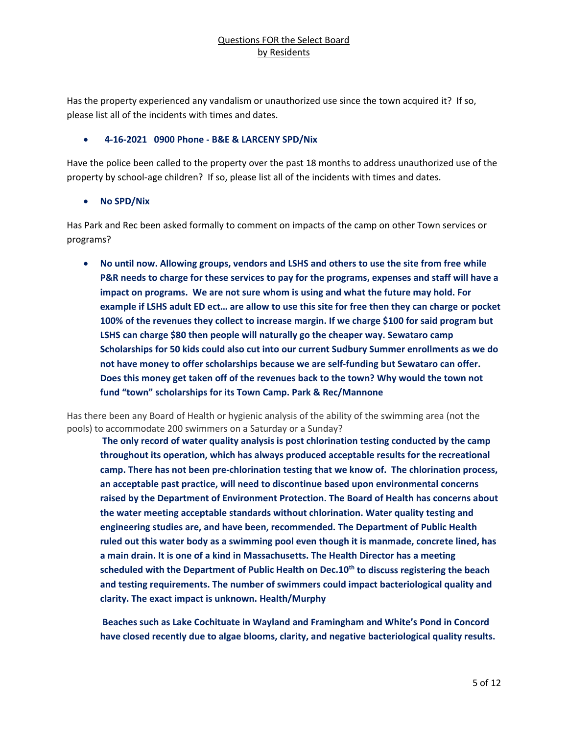Has the property experienced any vandalism or unauthorized use since the town acquired it? If so, please list all of the incidents with times and dates.

#### • **4-16-2021 0900 Phone - B&E & LARCENY SPD/Nix**

Have the police been called to the property over the past 18 months to address unauthorized use of the property by school-age children? If so, please list all of the incidents with times and dates.

#### • **No SPD/Nix**

Has Park and Rec been asked formally to comment on impacts of the camp on other Town services or programs?

• **No until now. Allowing groups, vendors and LSHS and others to use the site from free while P&R needs to charge for these services to pay for the programs, expenses and staff will have a impact on programs. We are not sure whom is using and what the future may hold. For example if LSHS adult ED ect… are allow to use this site for free then they can charge or pocket 100% of the revenues they collect to increase margin. If we charge \$100 for said program but LSHS can charge \$80 then people will naturally go the cheaper way. Sewataro camp Scholarships for 50 kids could also cut into our current Sudbury Summer enrollments as we do not have money to offer scholarships because we are self-funding but Sewataro can offer. Does this money get taken off of the revenues back to the town? Why would the town not fund "town" scholarships for its Town Camp. Park & Rec/Mannone**

Has there been any Board of Health or hygienic analysis of the ability of the swimming area (not the pools) to accommodate 200 swimmers on a Saturday or a Sunday?

**The only record of water quality analysis is post chlorination testing conducted by the camp throughout its operation, which has always produced acceptable results for the recreational camp. There has not been pre-chlorination testing that we know of. The chlorination process, an acceptable past practice, will need to discontinue based upon environmental concerns raised by the Department of Environment Protection. The Board of Health has concerns about the water meeting acceptable standards without chlorination. Water quality testing and engineering studies are, and have been, recommended. The Department of Public Health ruled out this water body as a swimming pool even though it is manmade, concrete lined, has a main drain. It is one of a kind in Massachusetts. The Health Director has a meeting scheduled with the Department of Public Health on Dec.10th to discuss registering the beach and testing requirements. The number of swimmers could impact bacteriological quality and clarity. The exact impact is unknown. Health/Murphy**

**Beaches such as Lake Cochituate in Wayland and Framingham and White's Pond in Concord have closed recently due to algae blooms, clarity, and negative bacteriological quality results.**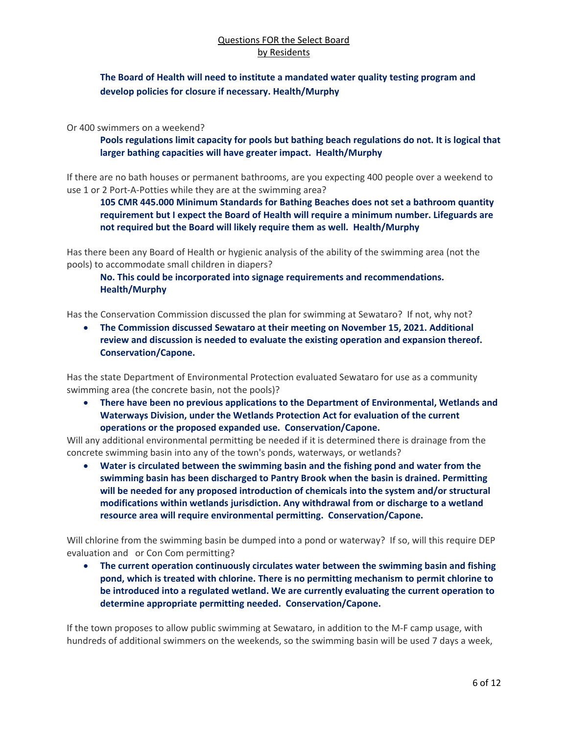# **The Board of Health will need to institute a mandated water quality testing program and develop policies for closure if necessary. Health/Murphy**

Or 400 swimmers on a weekend?

**Pools regulations limit capacity for pools but bathing beach regulations do not. It is logical that larger bathing capacities will have greater impact. Health/Murphy**

If there are no bath houses or permanent bathrooms, are you expecting 400 people over a weekend to use 1 or 2 Port-A-Potties while they are at the swimming area?

**105 CMR 445.000 Minimum Standards for Bathing Beaches does not set a bathroom quantity requirement but I expect the Board of Health will require a minimum number. Lifeguards are not required but the Board will likely require them as well. Health/Murphy**

Has there been any Board of Health or hygienic analysis of the ability of the swimming area (not the pools) to accommodate small children in diapers?

**No. This could be incorporated into signage requirements and recommendations. Health/Murphy**

Has the Conservation Commission discussed the plan for swimming at Sewataro? If not, why not?

• **The Commission discussed Sewataro at their meeting on November 15, 2021. Additional review and discussion is needed to evaluate the existing operation and expansion thereof. Conservation/Capone.**

Has the state Department of Environmental Protection evaluated Sewataro for use as a community swimming area (the concrete basin, not the pools)?

• **There have been no previous applications to the Department of Environmental, Wetlands and Waterways Division, under the Wetlands Protection Act for evaluation of the current operations or the proposed expanded use. Conservation/Capone.**

Will any additional environmental permitting be needed if it is determined there is drainage from the concrete swimming basin into any of the town's ponds, waterways, or wetlands?

• **Water is circulated between the swimming basin and the fishing pond and water from the swimming basin has been discharged to Pantry Brook when the basin is drained. Permitting will be needed for any proposed introduction of chemicals into the system and/or structural modifications within wetlands jurisdiction. Any withdrawal from or discharge to a wetland resource area will require environmental permitting. Conservation/Capone.**

Will chlorine from the swimming basin be dumped into a pond or waterway? If so, will this require DEP evaluation and or Con Com permitting?

• **The current operation continuously circulates water between the swimming basin and fishing pond, which is treated with chlorine. There is no permitting mechanism to permit chlorine to be introduced into a regulated wetland. We are currently evaluating the current operation to determine appropriate permitting needed. Conservation/Capone.**

If the town proposes to allow public swimming at Sewataro, in addition to the M-F camp usage, with hundreds of additional swimmers on the weekends, so the swimming basin will be used 7 days a week,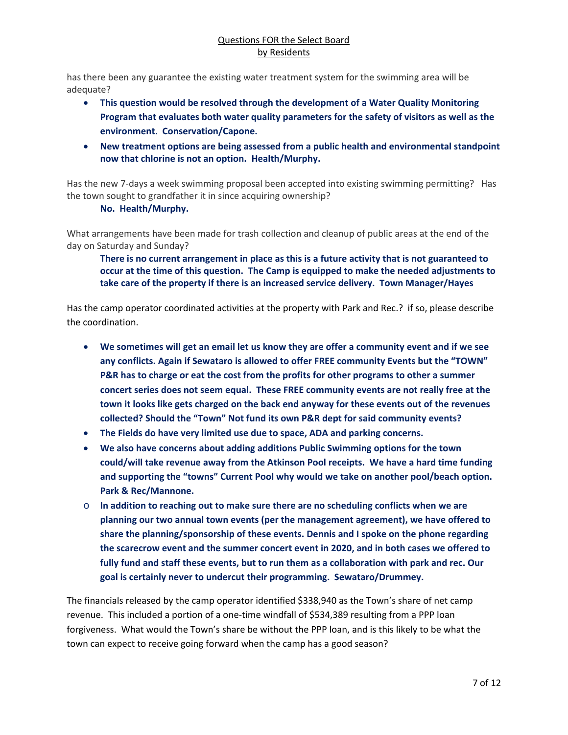has there been any guarantee the existing water treatment system for the swimming area will be adequate?

- **This question would be resolved through the development of a Water Quality Monitoring Program that evaluates both water quality parameters for the safety of visitors as well as the environment. Conservation/Capone.**
- **New treatment options are being assessed from a public health and environmental standpoint now that chlorine is not an option. Health/Murphy.**

Has the new 7-days a week swimming proposal been accepted into existing swimming permitting? Has the town sought to grandfather it in since acquiring ownership?

#### **No. Health/Murphy.**

What arrangements have been made for trash collection and cleanup of public areas at the end of the day on Saturday and Sunday?

**There is no current arrangement in place as this is a future activity that is not guaranteed to occur at the time of this question. The Camp is equipped to make the needed adjustments to take care of the property if there is an increased service delivery. Town Manager/Hayes**

Has the camp operator coordinated activities at the property with Park and Rec.? if so, please describe the coordination.

- **We sometimes will get an email let us know they are offer a community event and if we see any conflicts. Again if Sewataro is allowed to offer FREE community Events but the "TOWN" P&R has to charge or eat the cost from the profits for other programs to other a summer concert series does not seem equal. These FREE community events are not really free at the town it looks like gets charged on the back end anyway for these events out of the revenues collected? Should the "Town" Not fund its own P&R dept for said community events?**
- **The Fields do have very limited use due to space, ADA and parking concerns.**
- **We also have concerns about adding additions Public Swimming options for the town could/will take revenue away from the Atkinson Pool receipts. We have a hard time funding and supporting the "towns" Current Pool why would we take on another pool/beach option. Park & Rec/Mannone.**
- o **In addition to reaching out to make sure there are no scheduling conflicts when we are planning our two annual town events (per the management agreement), we have offered to share the planning/sponsorship of these events. Dennis and I spoke on the phone regarding the scarecrow event and the summer concert event in 2020, and in both cases we offered to fully fund and staff these events, but to run them as a collaboration with park and rec. Our goal is certainly never to undercut their programming. Sewataro/Drummey.**

The financials released by the camp operator identified \$338,940 as the Town's share of net camp revenue. This included a portion of a one-time windfall of \$534,389 resulting from a PPP loan forgiveness. What would the Town's share be without the PPP loan, and is this likely to be what the town can expect to receive going forward when the camp has a good season?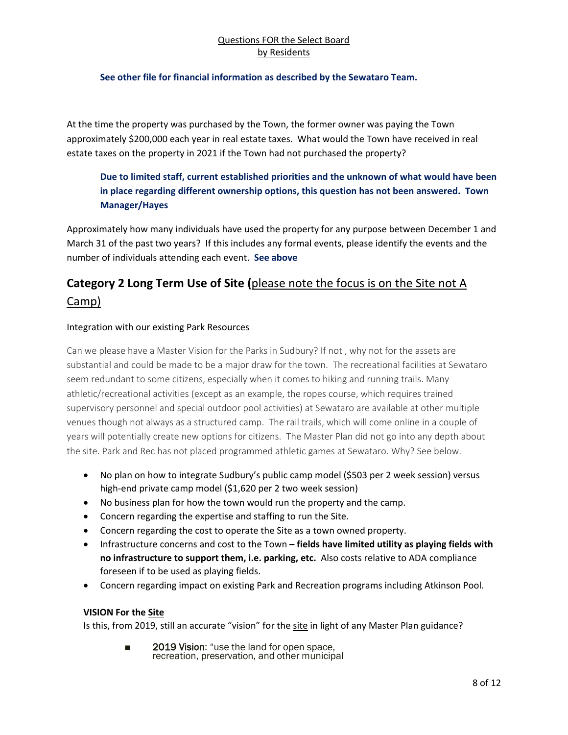#### **See other file for financial information as described by the Sewataro Team.**

At the time the property was purchased by the Town, the former owner was paying the Town approximately \$200,000 each year in real estate taxes. What would the Town have received in real estate taxes on the property in 2021 if the Town had not purchased the property?

# **Due to limited staff, current established priorities and the unknown of what would have been in place regarding different ownership options, this question has not been answered. Town Manager/Hayes**

Approximately how many individuals have used the property for any purpose between December 1 and March 31 of the past two years? If this includes any formal events, please identify the events and the number of individuals attending each event. **See above**

# **Category 2 Long Term Use of Site (**please note the focus is on the Site not A Camp)

## Integration with our existing Park Resources

Can we please have a Master Vision for the Parks in Sudbury? If not , why not for the assets are substantial and could be made to be a major draw for the town. The recreational facilities at Sewataro seem redundant to some citizens, especially when it comes to hiking and running trails. Many athletic/recreational activities (except as an example, the ropes course, which requires trained supervisory personnel and special outdoor pool activities) at Sewataro are available at other multiple venues though not always as a structured camp. The rail trails, which will come online in a couple of years will potentially create new options for citizens. The Master Plan did not go into any depth about the site. Park and Rec has not placed programmed athletic games at Sewataro. Why? See below.

- No plan on how to integrate Sudbury's public camp model (\$503 per 2 week session) versus high-end private camp model (\$1,620 per 2 two week session)
- No business plan for how the town would run the property and the camp.
- Concern regarding the expertise and staffing to run the Site.
- Concern regarding the cost to operate the Site as a town owned property.
- Infrastructure concerns and cost to the Town **– fields have limited utility as playing fields with no infrastructure to support them, i.e. parking, etc.** Also costs relative to ADA compliance foreseen if to be used as playing fields.
- Concern regarding impact on existing Park and Recreation programs including Atkinson Pool.

# **VISION For the Site**

Is this, from 2019, still an accurate "vision" for the site in light of any Master Plan guidance?

■ 2019 Vision: "use the land for open space, recreation, preservation, and other municipal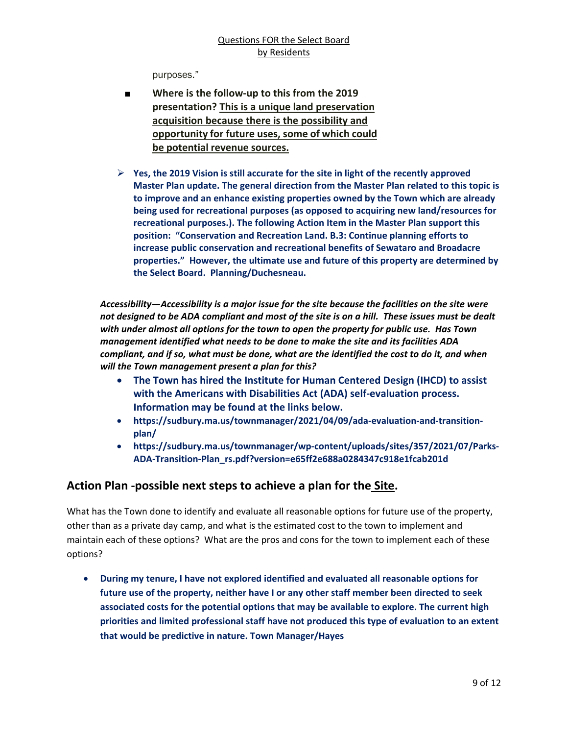purposes."

- **Where is the follow-up to this from the 2019 presentation? This is a unique land preservation acquisition because there is the possibility and opportunity for future uses, some of which could be potential revenue sources.**
- **Yes, the 2019 Vision is still accurate for the site in light of the recently approved Master Plan update. The general direction from the Master Plan related to this topic is to improve and an enhance existing properties owned by the Town which are already being used for recreational purposes (as opposed to acquiring new land/resources for recreational purposes.). The following Action Item in the Master Plan support this position: "Conservation and Recreation Land. B.3: Continue planning efforts to increase public conservation and recreational benefits of Sewataro and Broadacre properties." However, the ultimate use and future of this property are determined by the Select Board. Planning/Duchesneau.**

*Accessibility—Accessibility is a major issue for the site because the facilities on the site were not designed to be ADA compliant and most of the site is on a hill. These issues must be dealt with under almost all options for the town to open the property for public use. Has Town management identified what needs to be done to make the site and its facilities ADA compliant, and if so, what must be done, what are the identified the cost to do it, and when will the Town management present a plan for this?*

- **The Town has hired the Institute for Human Centered Design (IHCD) to assist with the Americans with Disabilities Act (ADA) self-evaluation process. Information may be found at the links below.**
- **https://sudbury.ma.us/townmanager/2021/04/09/ada-evaluation-and-transitionplan/**
- **https://sudbury.ma.us/townmanager/wp-content/uploads/sites/357/2021/07/Parks-ADA-Transition-Plan\_rs.pdf?version=e65ff2e688a0284347c918e1fcab201d**

# **Action Plan -possible next steps to achieve a plan for the Site.**

What has the Town done to identify and evaluate all reasonable options for future use of the property, other than as a private day camp, and what is the estimated cost to the town to implement and maintain each of these options? What are the pros and cons for the town to implement each of these options?

• **During my tenure, I have not explored identified and evaluated all reasonable options for future use of the property, neither have I or any other staff member been directed to seek associated costs for the potential options that may be available to explore. The current high priorities and limited professional staff have not produced this type of evaluation to an extent that would be predictive in nature. Town Manager/Hayes**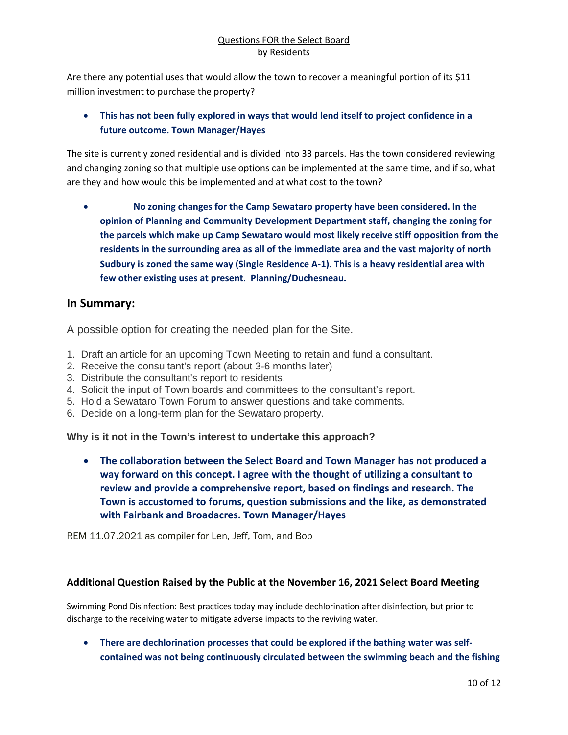Are there any potential uses that would allow the town to recover a meaningful portion of its \$11 million investment to purchase the property?

# • **This has not been fully explored in ways that would lend itself to project confidence in a future outcome. Town Manager/Hayes**

The site is currently zoned residential and is divided into 33 parcels. Has the town considered reviewing and changing zoning so that multiple use options can be implemented at the same time, and if so, what are they and how would this be implemented and at what cost to the town?

• **No zoning changes for the Camp Sewataro property have been considered. In the opinion of Planning and Community Development Department staff, changing the zoning for the parcels which make up Camp Sewataro would most likely receive stiff opposition from the residents in the surrounding area as all of the immediate area and the vast majority of north Sudbury is zoned the same way (Single Residence A-1). This is a heavy residential area with few other existing uses at present. Planning/Duchesneau.**

# **In Summary:**

A possible option for creating the needed plan for the Site.

- 1. Draft an article for an upcoming Town Meeting to retain and fund a consultant.
- 2. Receive the consultant's report (about 3-6 months later)
- 3. Distribute the consultant's report to residents.
- 4. Solicit the input of Town boards and committees to the consultant's report.
- 5. Hold a Sewataro Town Forum to answer questions and take comments.
- 6. Decide on a long-term plan for the Sewataro property.

**Why is it not in the Town's interest to undertake this approach?**

• **The collaboration between the Select Board and Town Manager has not produced a way forward on this concept. I agree with the thought of utilizing a consultant to review and provide a comprehensive report, based on findings and research. The Town is accustomed to forums, question submissions and the like, as demonstrated with Fairbank and Broadacres. Town Manager/Hayes**

REM 11.07.2021 as compiler for Len, Jeff, Tom, and Bob

# **Additional Question Raised by the Public at the November 16, 2021 Select Board Meeting**

Swimming Pond Disinfection: Best practices today may include dechlorination after disinfection, but prior to discharge to the receiving water to mitigate adverse impacts to the reviving water.

• **There are dechlorination processes that could be explored if the bathing water was selfcontained was not being continuously circulated between the swimming beach and the fishing**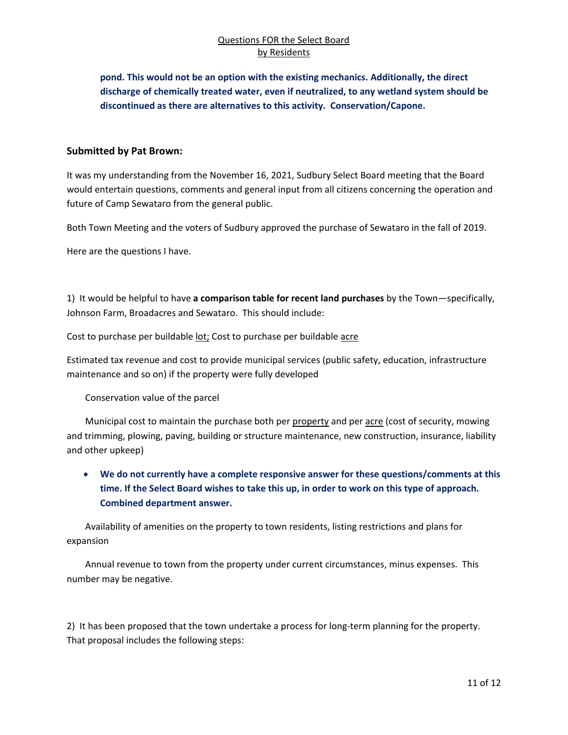**pond. This would not be an option with the existing mechanics. Additionally, the direct discharge of chemically treated water, even if neutralized, to any wetland system should be discontinued as there are alternatives to this activity. Conservation/Capone.**

#### **Submitted by Pat Brown:**

It was my understanding from the November 16, 2021, Sudbury Select Board meeting that the Board would entertain questions, comments and general input from all citizens concerning the operation and future of Camp Sewataro from the general public.

Both Town Meeting and the voters of Sudbury approved the purchase of Sewataro in the fall of 2019.

Here are the questions I have.

1) It would be helpful to have **a comparison table for recent land purchases** by the Town—specifically, Johnson Farm, Broadacres and Sewataro. This should include:

Cost to purchase per buildable lot; Cost to purchase per buildable acre

Estimated tax revenue and cost to provide municipal services (public safety, education, infrastructure maintenance and so on) if the property were fully developed

Conservation value of the parcel

 Municipal cost to maintain the purchase both per property and per acre (cost of security, mowing and trimming, plowing, paving, building or structure maintenance, new construction, insurance, liability and other upkeep)

• **We do not currently have a complete responsive answer for these questions/comments at this time. If the Select Board wishes to take this up, in order to work on this type of approach. Combined department answer.**

 Availability of amenities on the property to town residents, listing restrictions and plans for expansion

 Annual revenue to town from the property under current circumstances, minus expenses. This number may be negative.

2) It has been proposed that the town undertake a process for long-term planning for the property. That proposal includes the following steps: